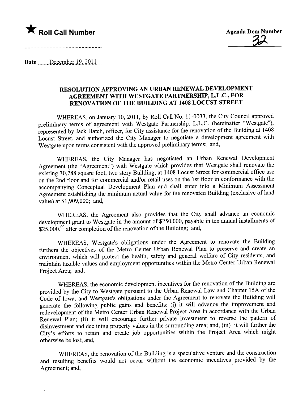## $\bigstar$  Roll Call Number

Date  $December 19, 2011$ 

## RESOLUTION APPROVING AN URBAN RENEWAL DEVELOPMENT AGREEMENT WITH WESTGATE PARTNERSHIP, L.L.C., FOR RENOVATION OF THE BUILDING AT 1408 LOCUST STREET

WHEREAS, on January 10, 2011, by Roll Call No. 11-0033, the City Council approved preliminary terms of agreement with Westgate Partnership, L.L.C. (hereinafter "Westgate"), represented by Jack Hatch, officer, for City assistance for the renovation of the Building at 1408 Locust Street, and authorized the City Manager to negotiate a development agreement with Westgate upon terms consistent with the approved preliminary terms; and,

WHEREAS, the City Manager has negotiated an Urban Renewal Development Agreement (the "Agreement") with Westgate which provides that Westgate shall renovate the existing 30,788 square foot, two story Building, at 1408 Locust Street for commercial office use on the 2nd floor and for commercial and/or retail uses on the 1 st floor in conformance with the accompanying Conceptual Development Plan and shall enter into a Minimum Assessment Agreement establishing the minimum actual value for the renovated Building (exclusive of land value) at \$1,909,000; and,

WHEREAS, the Agreement also provides that the City shall advance an economic development grant to Westgate in the amount of \$250,000, payable in ten annual installments of \$25,000.<sup>00</sup> after completion of the renovation of the Building; and,

WHEREAS, Westgate's obligations under the Agreement to renovate the Building furthers the objectives of the Metro Center Urban Renewal Plan to preserve and create an environment which will protect the health, safety and general welfare of City residents, and maintain taxable values and employment opportunities within the Metro Center Urban Renewal Project Area; and,

WHEREAS, the economic development incentives for the renovation of the Building are provided by the City to Westgate pursuant to the Urban Renewal Law and Chapter 15A of the Code of Iowa, and Westgate's obligations under the Agreement to renovate the Building wil generate the following public gains and benefits: (i) it wil advance the improvement and redevelopment of the Metro Center Urban Renewal Project Area in accordance with the Urban Renewal Plan; (ii) it will encourage further private investment to reverse the pattern of disinvestment and declining property values in the surrounding area; and, (iii) it will further the City's efforts to retain and create job opportunities within the Project Area which might otherwise be lost; and,

WHEREAS, the renovation of the Building is a speculative venture and the construction and resulting benefits would not occur without the economic incentives provided by the Agreement; and,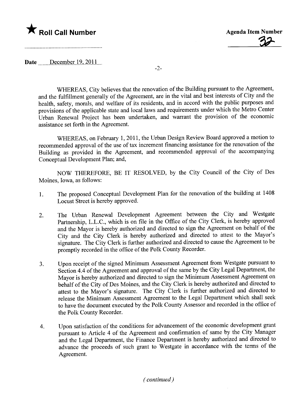## $\bigstar$  Roll Call Number



Date  $December 19, 2011...$ 

-2-

WHEREAS, City believes that the renovation of the Building pursuant to the Agreement, and the fulfillment generally of the Agreement, are in the vital and best interests of City and the health, safety, morals, and welfare of its residents, and in accord with the public purposes and provisions of the applicable state and local laws and requirements under which the Metro Center Urban Renewal Project has been undertaken, and warrant the provision of the economic assistance set forth in the Agreement.

WHEREAS, on February 1, 2011, the Urban Design Review Board approved a motion to recommended approval of the use of tax increment financing assistance for the renovation of the Building as provided in the Agreement, and recommended approval of the accompanying Conceptual Development Plan; and,

NOW THEREFORE, BE IT RESOLVED, by the City Council of the City of Des Moines, Iowa, as follows:

- 1. The proposed Conceptual Development Plan for the renovation of the building at 1408 Locust Street is hereby approved.
- 2. The Urban Renewal Development Agreement between the City and Westgate Partnership, L.L.C., which is on file in the Office of the City Clerk, is hereby approved and the Mayor is hereby authorized and directed to sign the Agreement on behalf of the City and the City Clerk is hereby authorized and directed to attest to the Mayor's signature. The City Clerk is further authorized and directed to cause the Agreement to be promptly recorded in the office of the Polk County Recorder.
- 3. Upon receipt of the signed Minimum Assessment Agreement from Westgate pursuant to Section 4.4 of the Agreement and approval of the same by the City Legal Deparment, the Mayor is hereby authorized and directed to sign the Minimum Assessment Agreement on behalf of the City of Des Moines, and the City Clerk is hereby authorized and directed to attest to the Mayor's signature. The City Clerk is furher authorized and directed to release the Minimum Assessment Agreement to the Legal Department which shall seek to have the document executed by the Polk County Assessor and recorded in the office of the Polk County Recorder.
- 4. Upon satisfaction of the conditions for advancement of the economic development grant pursuant to Article 4 of the Agreement and confirmation of same by the City Manager and the Legal Department, the Finance Deparment is hereby authorized and directed to advance the proceeds of such grant to Westgate in accordance with the terms of the Agreement.